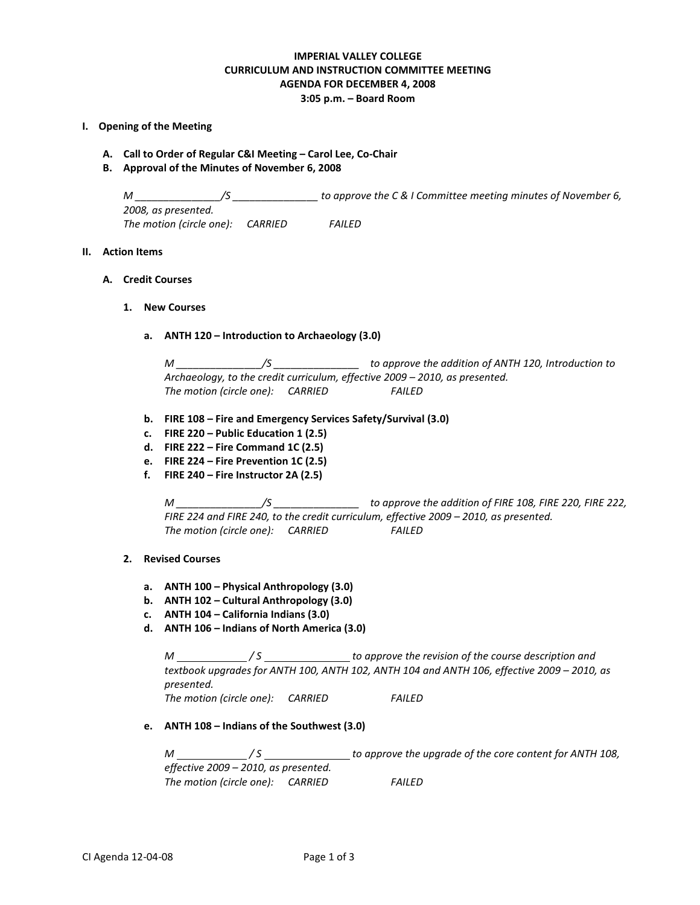# **IMPERIAL VALLEY COLLEGE CURRICULUM AND INSTRUCTION COMMITTEE MEETING AGENDA FOR DECEMBER 4, 2008 3:05 p.m. – Board Room**

- **I. Opening of the Meeting**
	- **A. Call to Order of Regular C&I Meeting – Carol Lee, Co-Chair**
	- **B. Approval of the Minutes of November 6, 2008**

*M \_\_\_\_\_\_\_\_\_\_\_\_\_\_\_/S \_\_\_\_\_\_\_\_\_\_\_\_\_\_\_ to approve the C & I Committee meeting minutes of November 6, 2008, as presented. The motion (circle one): CARRIED FAILED*

# **II. Action Items**

- **A. Credit Courses**
	- **1. New Courses**
		- **a. ANTH 120 – Introduction to Archaeology (3.0)**

*M \_\_\_\_\_\_\_\_\_\_\_\_\_\_\_/S \_\_\_\_\_\_\_\_\_\_\_\_\_\_\_ to approve the addition of ANTH 120, Introduction to Archaeology, to the credit curriculum, effective 2009 – 2010, as presented. The motion (circle one): CARRIED FAILED*

- **b. FIRE 108 – Fire and Emergency Services Safety/Survival (3.0)**
- **c. FIRE 220 – Public Education 1 (2.5)**
- **d. FIRE 222 – Fire Command 1C (2.5)**
- **e. FIRE 224 – Fire Prevention 1C (2.5)**
- **f. FIRE 240 – Fire Instructor 2A (2.5)**

*M \_\_\_\_\_\_\_\_\_\_\_\_\_\_\_/S \_\_\_\_\_\_\_\_\_\_\_\_\_\_\_ to approve the addition of FIRE 108, FIRE 220, FIRE 222, FIRE 224 and FIRE 240, to the credit curriculum, effective 2009 – 2010, as presented. The motion (circle one): CARRIED FAILED*

### **2. Revised Courses**

- **a. ANTH 100 – Physical Anthropology (3.0)**
- **b. ANTH 102 – Cultural Anthropology (3.0)**
- **c. ANTH 104 – California Indians (3.0)**
- **d. ANTH 106 – Indians of North America (3.0)**

*M* / S \_\_\_\_\_\_\_\_\_\_\_\_\_\_\_\_\_\_\_\_\_\_ to approve the revision of the course description and *textbook upgrades for ANTH 100, ANTH 102, ANTH 104 and ANTH 106, effective 2009 – 2010, as presented.*

*The motion (circle one): CARRIED FAILED*

**e. ANTH 108 – Indians of the Southwest (3.0)**

*M / S to approve the upgrade of the core content for ANTH 108, effective 2009 – 2010, as presented. The motion (circle one): CARRIED FAILED*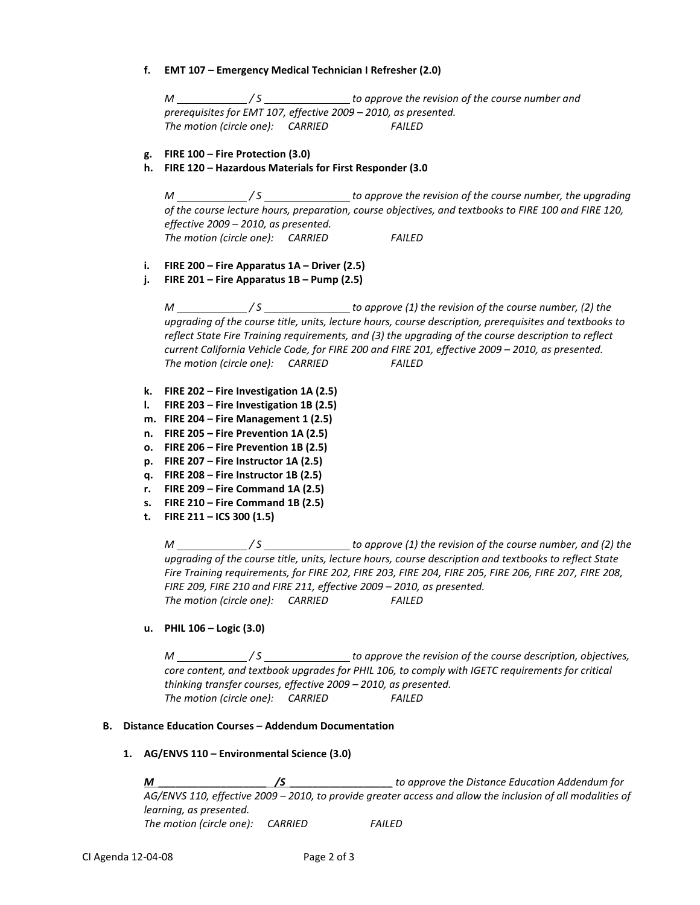**f. EMT 107 – Emergency Medical Technician I Refresher (2.0)**

*M / S to approve the revision of the course number and prerequisites for EMT 107, effective 2009 – 2010, as presented. The motion (circle one): CARRIED FAILED*

- **g. FIRE 100 – Fire Protection (3.0)**
- **h. FIRE 120 – Hazardous Materials for First Responder (3.0**

*M* / S \_\_\_\_\_\_\_\_\_\_\_\_\_\_\_\_\_\_\_\_ to approve the revision of the course number, the upgrading *of the course lecture hours, preparation, course objectives, and textbooks to FIRE 100 and FIRE 120, effective 2009 – 2010, as presented. The motion (circle one): CARRIED FAILED*

- **i. FIRE 200 – Fire Apparatus 1A – Driver (2.5)**
- **j. FIRE 201 – Fire Apparatus 1B – Pump (2.5)**

*M / S to approve (1) the revision of the course number, (2) the upgrading of the course title, units, lecture hours, course description, prerequisites and textbooks to reflect State Fire Training requirements, and (3) the upgrading of the course description to reflect current California Vehicle Code, for FIRE 200 and FIRE 201, effective 2009 – 2010, as presented. The motion (circle one): CARRIED FAILED*

- **k. FIRE 202 – Fire Investigation 1A (2.5)**
- **l. FIRE 203 – Fire Investigation 1B (2.5)**
- **m. FIRE 204 – Fire Management 1 (2.5)**
- **n. FIRE 205 – Fire Prevention 1A (2.5)**
- **o. FIRE 206 – Fire Prevention 1B (2.5)**
- **p. FIRE 207 – Fire Instructor 1A (2.5)**
- **q. FIRE 208 – Fire Instructor 1B (2.5)**
- **r. FIRE 209 – Fire Command 1A (2.5)**
- **s. FIRE 210 – Fire Command 1B (2.5)**
- **t. FIRE 211 – ICS 300 (1.5)**

*M / S to approve (1) the revision of the course number, and (2) the upgrading of the course title, units, lecture hours, course description and textbooks to reflect State Fire Training requirements, for FIRE 202, FIRE 203, FIRE 204, FIRE 205, FIRE 206, FIRE 207, FIRE 208, FIRE 209, FIRE 210 and FIRE 211, effective 2009 – 2010, as presented. The motion (circle one): CARRIED FAILED*

# **u. PHIL 106 – Logic (3.0)**

*M \_\_\_\_\_\_\_\_\_\_\_\_\_/S* \_\_\_\_\_\_\_\_\_\_\_\_\_\_\_\_ to approve the revision of the course description, objectives, *core content, and textbook upgrades for PHIL 106, to comply with IGETC requirements for critical thinking transfer courses, effective 2009 – 2010, as presented. The motion (circle one): CARRIED FAILED*

### **B. Distance Education Courses – Addendum Documentation**

### **1. AG/ENVS 110 – Environmental Science (3.0)**

*M \_\_\_\_\_\_\_\_\_\_\_\_\_\_\_\_\_\_\_ /S \_\_\_\_\_\_\_\_\_\_\_\_\_\_\_\_\_\_ to approve the Distance Education Addendum for AG/ENVS 110, effective 2009 – 2010, to provide greater access and allow the inclusion of all modalities of learning, as presented. The motion (circle one): CARRIED FAILED*